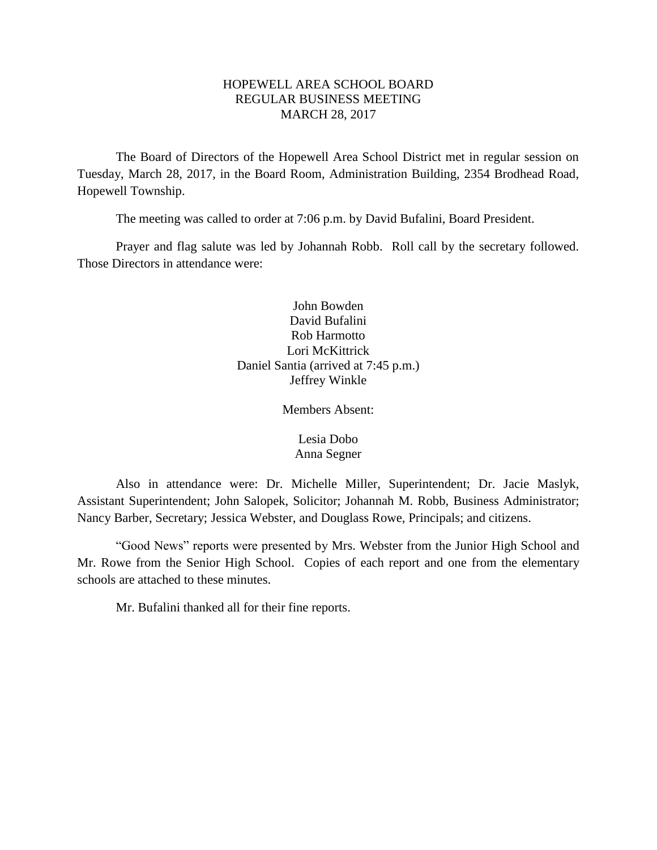## HOPEWELL AREA SCHOOL BOARD REGULAR BUSINESS MEETING MARCH 28, 2017

The Board of Directors of the Hopewell Area School District met in regular session on Tuesday, March 28, 2017, in the Board Room, Administration Building, 2354 Brodhead Road, Hopewell Township.

The meeting was called to order at 7:06 p.m. by David Bufalini, Board President.

Prayer and flag salute was led by Johannah Robb. Roll call by the secretary followed. Those Directors in attendance were:

> John Bowden David Bufalini Rob Harmotto Lori McKittrick Daniel Santia (arrived at 7:45 p.m.) Jeffrey Winkle

> > Members Absent:

Lesia Dobo Anna Segner

Also in attendance were: Dr. Michelle Miller, Superintendent; Dr. Jacie Maslyk, Assistant Superintendent; John Salopek, Solicitor; Johannah M. Robb, Business Administrator; Nancy Barber, Secretary; Jessica Webster, and Douglass Rowe, Principals; and citizens.

"Good News" reports were presented by Mrs. Webster from the Junior High School and Mr. Rowe from the Senior High School. Copies of each report and one from the elementary schools are attached to these minutes.

Mr. Bufalini thanked all for their fine reports.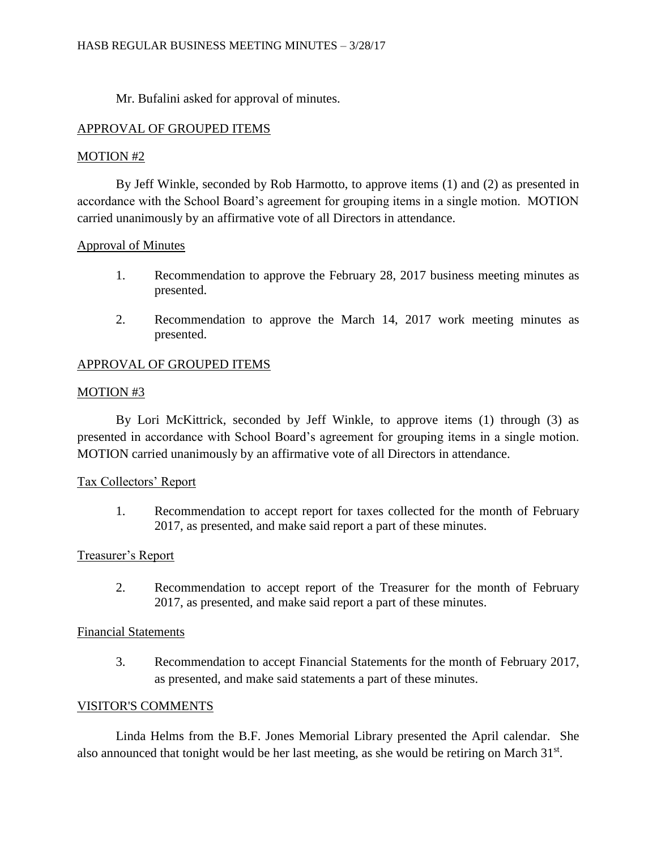Mr. Bufalini asked for approval of minutes.

## APPROVAL OF GROUPED ITEMS

## MOTION #2

By Jeff Winkle, seconded by Rob Harmotto, to approve items (1) and (2) as presented in accordance with the School Board's agreement for grouping items in a single motion. MOTION carried unanimously by an affirmative vote of all Directors in attendance.

# Approval of Minutes

- 1. Recommendation to approve the February 28, 2017 business meeting minutes as presented.
- 2. Recommendation to approve the March 14, 2017 work meeting minutes as presented.

# APPROVAL OF GROUPED ITEMS

## MOTION #3

By Lori McKittrick, seconded by Jeff Winkle, to approve items (1) through (3) as presented in accordance with School Board's agreement for grouping items in a single motion. MOTION carried unanimously by an affirmative vote of all Directors in attendance.

## Tax Collectors' Report

1. Recommendation to accept report for taxes collected for the month of February 2017, as presented, and make said report a part of these minutes.

## Treasurer's Report

2. Recommendation to accept report of the Treasurer for the month of February 2017, as presented, and make said report a part of these minutes.

## Financial Statements

3. Recommendation to accept Financial Statements for the month of February 2017, as presented, and make said statements a part of these minutes.

### VISITOR'S COMMENTS

Linda Helms from the B.F. Jones Memorial Library presented the April calendar. She also announced that tonight would be her last meeting, as she would be retiring on March 31<sup>st</sup>.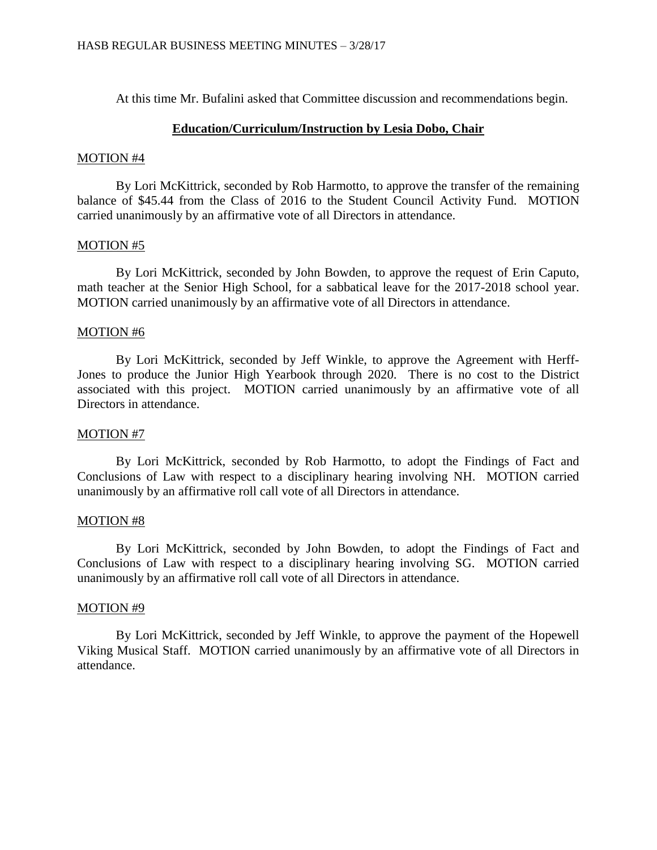At this time Mr. Bufalini asked that Committee discussion and recommendations begin.

### **Education/Curriculum/Instruction by Lesia Dobo, Chair**

### MOTION #4

By Lori McKittrick, seconded by Rob Harmotto, to approve the transfer of the remaining balance of \$45.44 from the Class of 2016 to the Student Council Activity Fund. MOTION carried unanimously by an affirmative vote of all Directors in attendance.

### MOTION #5

By Lori McKittrick, seconded by John Bowden, to approve the request of Erin Caputo, math teacher at the Senior High School, for a sabbatical leave for the 2017-2018 school year. MOTION carried unanimously by an affirmative vote of all Directors in attendance.

### MOTION #6

By Lori McKittrick, seconded by Jeff Winkle, to approve the Agreement with Herff-Jones to produce the Junior High Yearbook through 2020. There is no cost to the District associated with this project. MOTION carried unanimously by an affirmative vote of all Directors in attendance.

## MOTION #7

By Lori McKittrick, seconded by Rob Harmotto, to adopt the Findings of Fact and Conclusions of Law with respect to a disciplinary hearing involving NH. MOTION carried unanimously by an affirmative roll call vote of all Directors in attendance.

### MOTION #8

By Lori McKittrick, seconded by John Bowden, to adopt the Findings of Fact and Conclusions of Law with respect to a disciplinary hearing involving SG. MOTION carried unanimously by an affirmative roll call vote of all Directors in attendance.

### MOTION #9

By Lori McKittrick, seconded by Jeff Winkle, to approve the payment of the Hopewell Viking Musical Staff. MOTION carried unanimously by an affirmative vote of all Directors in attendance.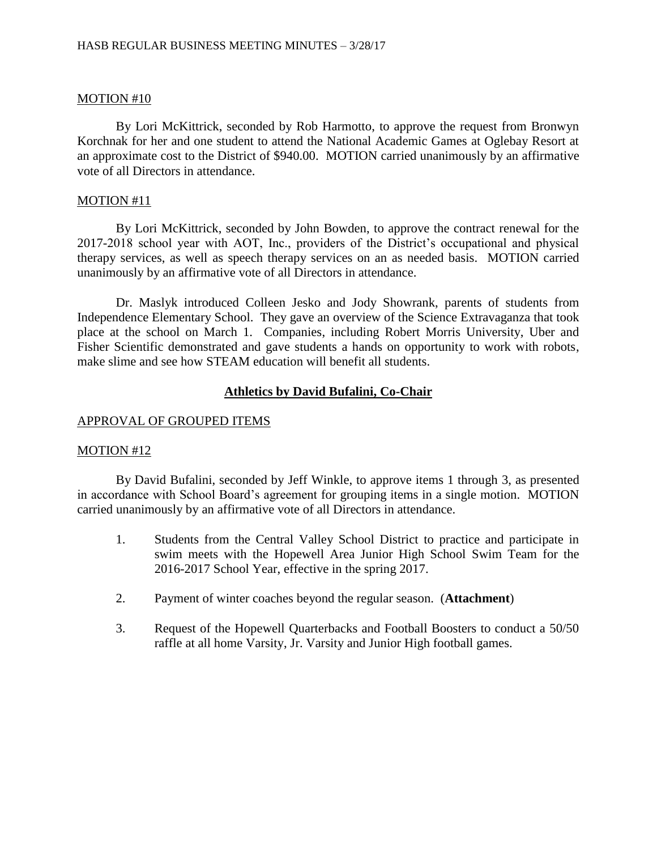By Lori McKittrick, seconded by Rob Harmotto, to approve the request from Bronwyn Korchnak for her and one student to attend the National Academic Games at Oglebay Resort at an approximate cost to the District of \$940.00. MOTION carried unanimously by an affirmative vote of all Directors in attendance.

### MOTION #11

By Lori McKittrick, seconded by John Bowden, to approve the contract renewal for the 2017-2018 school year with AOT, Inc., providers of the District's occupational and physical therapy services, as well as speech therapy services on an as needed basis. MOTION carried unanimously by an affirmative vote of all Directors in attendance.

Dr. Maslyk introduced Colleen Jesko and Jody Showrank, parents of students from Independence Elementary School. They gave an overview of the Science Extravaganza that took place at the school on March 1. Companies, including Robert Morris University, Uber and Fisher Scientific demonstrated and gave students a hands on opportunity to work with robots, make slime and see how STEAM education will benefit all students.

### **Athletics by David Bufalini, Co-Chair**

### APPROVAL OF GROUPED ITEMS

### MOTION #12

By David Bufalini, seconded by Jeff Winkle, to approve items 1 through 3, as presented in accordance with School Board's agreement for grouping items in a single motion. MOTION carried unanimously by an affirmative vote of all Directors in attendance.

- 1. Students from the Central Valley School District to practice and participate in swim meets with the Hopewell Area Junior High School Swim Team for the 2016-2017 School Year, effective in the spring 2017.
- 2. Payment of winter coaches beyond the regular season. (**Attachment**)
- 3. Request of the Hopewell Quarterbacks and Football Boosters to conduct a 50/50 raffle at all home Varsity, Jr. Varsity and Junior High football games.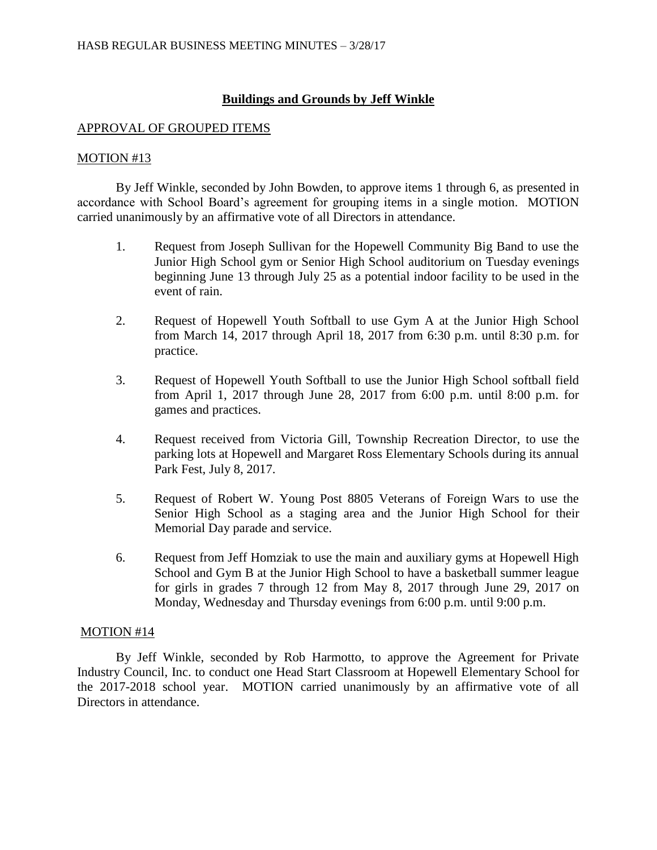## **Buildings and Grounds by Jeff Winkle**

### APPROVAL OF GROUPED ITEMS

### MOTION #13

By Jeff Winkle, seconded by John Bowden, to approve items 1 through 6, as presented in accordance with School Board's agreement for grouping items in a single motion. MOTION carried unanimously by an affirmative vote of all Directors in attendance.

- 1. Request from Joseph Sullivan for the Hopewell Community Big Band to use the Junior High School gym or Senior High School auditorium on Tuesday evenings beginning June 13 through July 25 as a potential indoor facility to be used in the event of rain.
- 2. Request of Hopewell Youth Softball to use Gym A at the Junior High School from March 14, 2017 through April 18, 2017 from 6:30 p.m. until 8:30 p.m. for practice.
- 3. Request of Hopewell Youth Softball to use the Junior High School softball field from April 1, 2017 through June 28, 2017 from 6:00 p.m. until 8:00 p.m. for games and practices.
- 4. Request received from Victoria Gill, Township Recreation Director, to use the parking lots at Hopewell and Margaret Ross Elementary Schools during its annual Park Fest, July 8, 2017.
- 5. Request of Robert W. Young Post 8805 Veterans of Foreign Wars to use the Senior High School as a staging area and the Junior High School for their Memorial Day parade and service.
- 6. Request from Jeff Homziak to use the main and auxiliary gyms at Hopewell High School and Gym B at the Junior High School to have a basketball summer league for girls in grades 7 through 12 from May 8, 2017 through June 29, 2017 on Monday, Wednesday and Thursday evenings from 6:00 p.m. until 9:00 p.m.

### MOTION #14

By Jeff Winkle, seconded by Rob Harmotto, to approve the Agreement for Private Industry Council, Inc. to conduct one Head Start Classroom at Hopewell Elementary School for the 2017-2018 school year. MOTION carried unanimously by an affirmative vote of all Directors in attendance.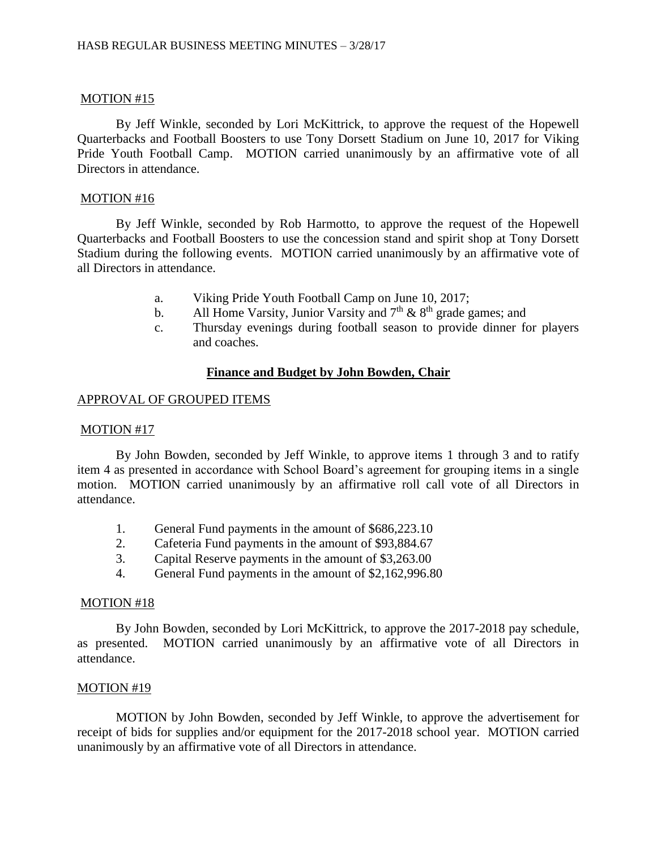By Jeff Winkle, seconded by Lori McKittrick, to approve the request of the Hopewell Quarterbacks and Football Boosters to use Tony Dorsett Stadium on June 10, 2017 for Viking Pride Youth Football Camp. MOTION carried unanimously by an affirmative vote of all Directors in attendance.

### MOTION #16

By Jeff Winkle, seconded by Rob Harmotto, to approve the request of the Hopewell Quarterbacks and Football Boosters to use the concession stand and spirit shop at Tony Dorsett Stadium during the following events. MOTION carried unanimously by an affirmative vote of all Directors in attendance.

- a. Viking Pride Youth Football Camp on June 10, 2017;
- b. All Home Varsity, Junior Varsity and  $7<sup>th</sup>$  &  $8<sup>th</sup>$  grade games; and
- c. Thursday evenings during football season to provide dinner for players and coaches.

### **Finance and Budget by John Bowden, Chair**

### APPROVAL OF GROUPED ITEMS

### MOTION #17

By John Bowden, seconded by Jeff Winkle, to approve items 1 through 3 and to ratify item 4 as presented in accordance with School Board's agreement for grouping items in a single motion. MOTION carried unanimously by an affirmative roll call vote of all Directors in attendance.

- 1. General Fund payments in the amount of \$686,223.10
- 2. Cafeteria Fund payments in the amount of \$93,884.67
- 3. Capital Reserve payments in the amount of \$3,263.00
- 4. General Fund payments in the amount of \$2,162,996.80

### MOTION #18

By John Bowden, seconded by Lori McKittrick, to approve the 2017-2018 pay schedule, as presented. MOTION carried unanimously by an affirmative vote of all Directors in attendance.

### MOTION #19

MOTION by John Bowden, seconded by Jeff Winkle, to approve the advertisement for receipt of bids for supplies and/or equipment for the 2017-2018 school year. MOTION carried unanimously by an affirmative vote of all Directors in attendance.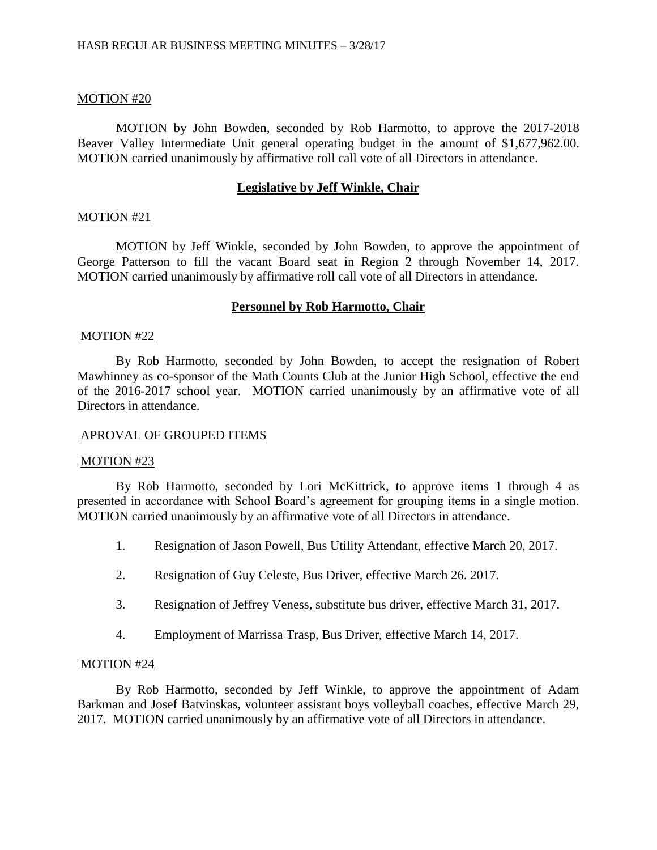MOTION by John Bowden, seconded by Rob Harmotto, to approve the 2017-2018 Beaver Valley Intermediate Unit general operating budget in the amount of \$1,677,962.00. MOTION carried unanimously by affirmative roll call vote of all Directors in attendance.

### **Legislative by Jeff Winkle, Chair**

### MOTION #21

MOTION by Jeff Winkle, seconded by John Bowden, to approve the appointment of George Patterson to fill the vacant Board seat in Region 2 through November 14, 2017. MOTION carried unanimously by affirmative roll call vote of all Directors in attendance.

### **Personnel by Rob Harmotto, Chair**

#### MOTION #22

By Rob Harmotto, seconded by John Bowden, to accept the resignation of Robert Mawhinney as co-sponsor of the Math Counts Club at the Junior High School, effective the end of the 2016-2017 school year. MOTION carried unanimously by an affirmative vote of all Directors in attendance.

### APROVAL OF GROUPED ITEMS

#### MOTION #23

By Rob Harmotto, seconded by Lori McKittrick, to approve items 1 through 4 as presented in accordance with School Board's agreement for grouping items in a single motion. MOTION carried unanimously by an affirmative vote of all Directors in attendance.

- 1. Resignation of Jason Powell, Bus Utility Attendant, effective March 20, 2017.
- 2. Resignation of Guy Celeste, Bus Driver, effective March 26. 2017.
- 3. Resignation of Jeffrey Veness, substitute bus driver, effective March 31, 2017.
- 4. Employment of Marrissa Trasp, Bus Driver, effective March 14, 2017.

### MOTION #24

By Rob Harmotto, seconded by Jeff Winkle, to approve the appointment of Adam Barkman and Josef Batvinskas, volunteer assistant boys volleyball coaches, effective March 29, 2017. MOTION carried unanimously by an affirmative vote of all Directors in attendance.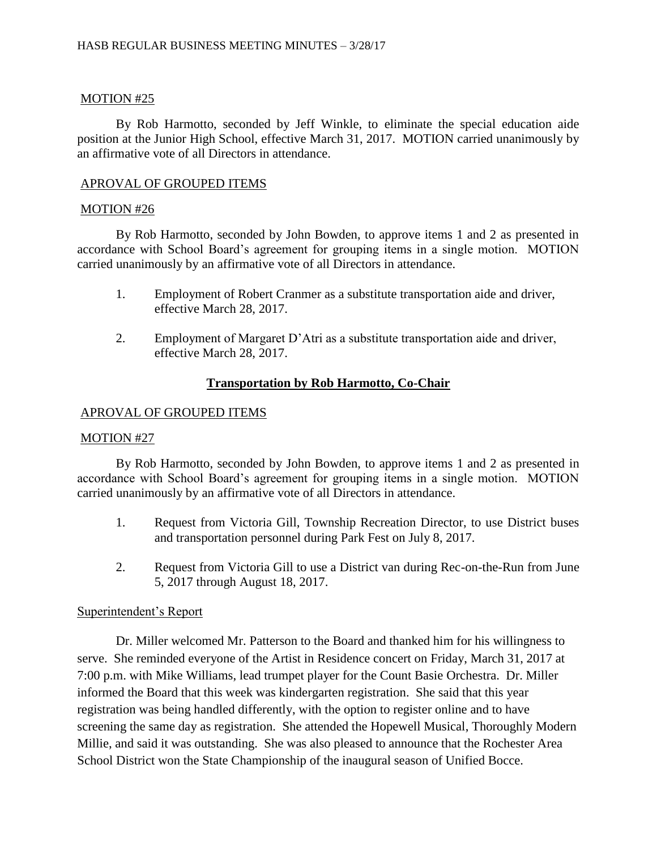By Rob Harmotto, seconded by Jeff Winkle, to eliminate the special education aide position at the Junior High School, effective March 31, 2017. MOTION carried unanimously by an affirmative vote of all Directors in attendance.

## APROVAL OF GROUPED ITEMS

## MOTION #26

By Rob Harmotto, seconded by John Bowden, to approve items 1 and 2 as presented in accordance with School Board's agreement for grouping items in a single motion. MOTION carried unanimously by an affirmative vote of all Directors in attendance.

- 1. Employment of Robert Cranmer as a substitute transportation aide and driver, effective March 28, 2017.
- 2. Employment of Margaret D'Atri as a substitute transportation aide and driver, effective March 28, 2017.

# **Transportation by Rob Harmotto, Co-Chair**

### APROVAL OF GROUPED ITEMS

## MOTION #27

By Rob Harmotto, seconded by John Bowden, to approve items 1 and 2 as presented in accordance with School Board's agreement for grouping items in a single motion. MOTION carried unanimously by an affirmative vote of all Directors in attendance.

- 1. Request from Victoria Gill, Township Recreation Director, to use District buses and transportation personnel during Park Fest on July 8, 2017.
- 2. Request from Victoria Gill to use a District van during Rec-on-the-Run from June 5, 2017 through August 18, 2017.

## Superintendent's Report

Dr. Miller welcomed Mr. Patterson to the Board and thanked him for his willingness to serve. She reminded everyone of the Artist in Residence concert on Friday, March 31, 2017 at 7:00 p.m. with Mike Williams, lead trumpet player for the Count Basie Orchestra. Dr. Miller informed the Board that this week was kindergarten registration. She said that this year registration was being handled differently, with the option to register online and to have screening the same day as registration. She attended the Hopewell Musical, Thoroughly Modern Millie, and said it was outstanding. She was also pleased to announce that the Rochester Area School District won the State Championship of the inaugural season of Unified Bocce.